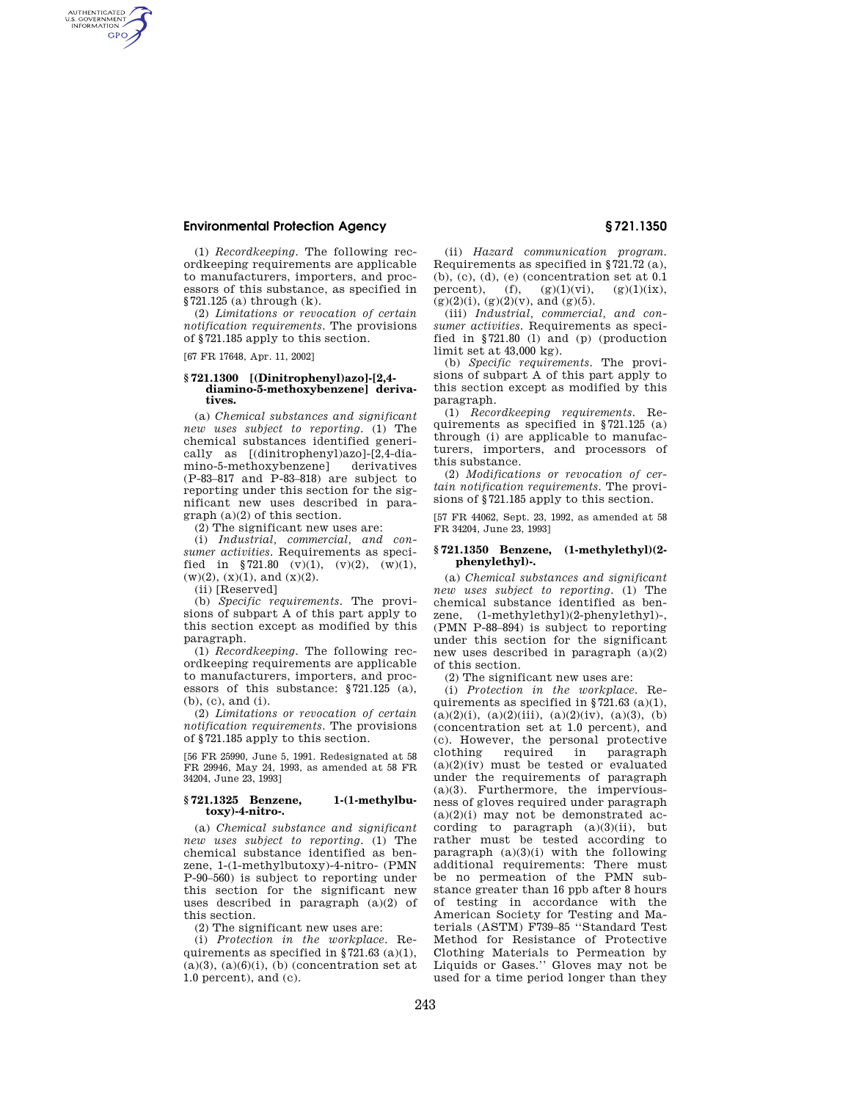# **Environmental Protection Agency § 721.1350**

(1) *Recordkeeping.* The following recordkeeping requirements are applicable to manufacturers, importers, and processors of this substance, as specified in §721.125 (a) through (k).

(2) *Limitations or revocation of certain notification requirements.* The provisions of §721.185 apply to this section.

[67 FR 17648, Apr. 11, 2002]

AUTHENTICATED<br>U.S. GOVERNMENT<br>INFORMATION **GPO** 

### **§ 721.1300 [(Dinitrophenyl)azo]-[2,4 diamino-5-methoxybenzene] derivatives.**

(a) *Chemical substances and significant new uses subject to reporting.* (1) The chemical substances identified generically as [(dinitrophenyl)azo]-[2,4-diamino-5-methoxybenzene] derivatives (P-83–817 and P-83–818) are subject to reporting under this section for the significant new uses described in paragraph (a)(2) of this section.

(2) The significant new uses are:

(i) *Industrial, commercial, and consumer activities.* Requirements as specified in §721.80 (v)(1), (v)(2), (w)(1),  $(w)(2)$ ,  $(x)(1)$ , and  $(x)(2)$ .

(ii) [Reserved]

(b) *Specific requirements.* The provisions of subpart A of this part apply to this section except as modified by this paragraph.

(1) *Recordkeeping.* The following recordkeeping requirements are applicable to manufacturers, importers, and processors of this substance: §721.125 (a), (b), (c), and (i).

(2) *Limitations or revocation of certain notification requirements.* The provisions of §721.185 apply to this section.

[56 FR 25990, June 5, 1991. Redesignated at 58 FR 29946, May 24, 1993, as amended at 58 FR 34204, June 23, 1993]

### **§ 721.1325 Benzene, 1-(1-methylbutoxy)-4-nitro-.**

(a) *Chemical substance and significant new uses subject to reporting.* (1) The chemical substance identified as benzene, 1-(1-methylbutoxy)-4-nitro- (PMN P-90–560) is subject to reporting under this section for the significant new uses described in paragraph (a)(2) of this section.

(2) The significant new uses are:

(i) *Protection in the workplace.* Requirements as specified in  $\S 721.63$  (a)(1),  $(a)(3)$ ,  $(a)(6)(i)$ ,  $(b)$  (concentration set at 1.0 percent), and (c).

(ii) *Hazard communication program.*  Requirements as specified in §721.72 (a), (b), (c), (d), (e) (concentration set at 0.1 percent), (f),  $(g)(1)(vi)$ ,  $(g)(1)(ix)$ ,  $(g)(2)(i)$ ,  $(g)(2)(v)$ , and  $(g)(5)$ .

(iii) *Industrial, commercial, and consumer activities.* Requirements as specified in §721.80 (l) and (p) (production limit set at 43,000 kg).

(b) *Specific requirements.* The provisions of subpart A of this part apply to this section except as modified by this paragraph.

(1) *Recordkeeping requirements.* Requirements as specified in §721.125 (a) through (i) are applicable to manufacturers, importers, and processors of this substance.

(2) *Modifications or revocation of certain notification requirements.* The provisions of §721.185 apply to this section.

[57 FR 44062, Sept. 23, 1992, as amended at 58 FR 34204, June 23, 1993]

#### **§ 721.1350 Benzene, (1-methylethyl)(2 phenylethyl)-.**

(a) *Chemical substances and significant new uses subject to reporting.* (1) The chemical substance identified as benzene, (1-methylethyl)(2-phenylethyl)-, (PMN P-88–894) is subject to reporting under this section for the significant new uses described in paragraph (a)(2) of this section.

(2) The significant new uses are:

(i) *Protection in the workplace.* Requirements as specified in §721.63 (a)(1),  $(a)(2)(i)$ ,  $(a)(2)(iii)$ ,  $(a)(2)(iv)$ ,  $(a)(3)$ ,  $(b)$ (concentration set at 1.0 percent), and (c). However, the personal protective clothing required in paragraph  $(a)(2)(iv)$  must be tested or evaluated under the requirements of paragraph (a)(3). Furthermore, the imperviousness of gloves required under paragraph  $(a)(2)(i)$  may not be demonstrated according to paragraph  $(a)(3)(ii)$ , but rather must be tested according to paragraph  $(a)(3)(i)$  with the following additional requirements: There must be no permeation of the PMN substance greater than 16 ppb after 8 hours of testing in accordance with the American Society for Testing and Materials (ASTM) F739–85 ''Standard Test Method for Resistance of Protective Clothing Materials to Permeation by Liquids or Gases.'' Gloves may not be used for a time period longer than they